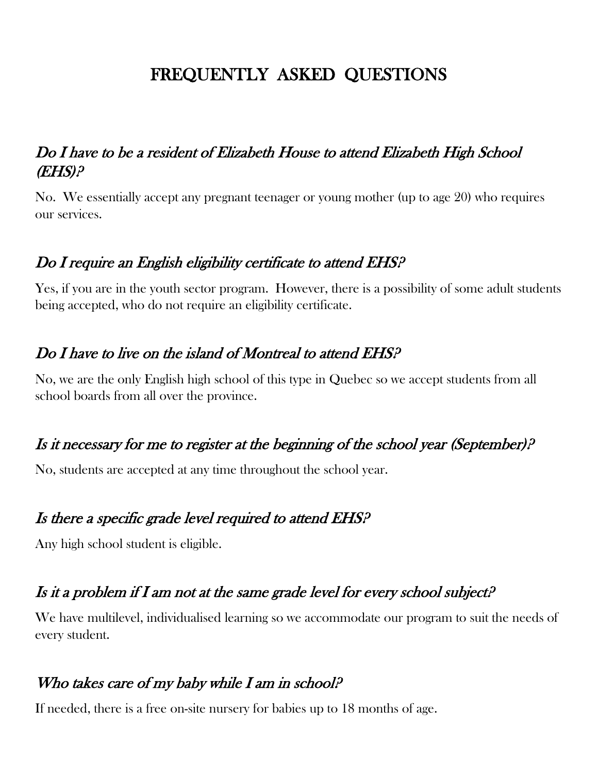# FREQUENTLY ASKED QUESTIONS

#### Do I have to be a resident of Elizabeth House to attend Elizabeth High School (EHS)?

No. We essentially accept any pregnant teenager or young mother (up to age 20) who requires our services.

### Do I require an English eligibility certificate to attend EHS?

Yes, if you are in the youth sector program. However, there is a possibility of some adult students being accepted, who do not require an eligibility certificate.

#### Do I have to live on the island of Montreal to attend EHS?

No, we are the only English high school of this type in Quebec so we accept students from all school boards from all over the province.

### Is it necessary for me to register at the beginning of the school year (September)?

No, students are accepted at any time throughout the school year.

#### Is there a specific grade level required to attend EHS?

Any high school student is eligible.

### Is it a problem if I am not at the same grade level for every school subject?

We have multilevel, individualised learning so we accommodate our program to suit the needs of every student.

### Who takes care of my baby while I am in school?

If needed, there is a free on-site nursery for babies up to 18 months of age.